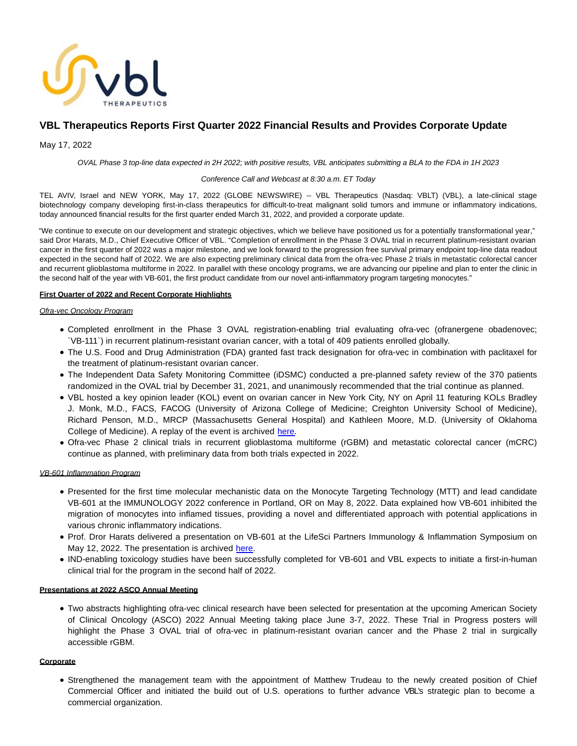

# **VBL Therapeutics Reports First Quarter 2022 Financial Results and Provides Corporate Update**

May 17, 2022

OVAL Phase 3 top-line data expected in 2H 2022; with positive results, VBL anticipates submitting a BLA to the FDA in 1H 2023

## Conference Call and Webcast at 8:30 a.m. ET Today

TEL AVIV, Israel and NEW YORK, May 17, 2022 (GLOBE NEWSWIRE) -- VBL Therapeutics (Nasdaq: VBLT) (VBL), a late-clinical stage biotechnology company developing first-in-class therapeutics for difficult-to-treat malignant solid tumors and immune or inflammatory indications, today announced financial results for the first quarter ended March 31, 2022, and provided a corporate update.

"We continue to execute on our development and strategic objectives, which we believe have positioned us for a potentially transformational year," said Dror Harats, M.D., Chief Executive Officer of VBL. "Completion of enrollment in the Phase 3 OVAL trial in recurrent platinum-resistant ovarian cancer in the first quarter of 2022 was a major milestone, and we look forward to the progression free survival primary endpoint top-line data readout expected in the second half of 2022. We are also expecting preliminary clinical data from the ofra-vec Phase 2 trials in metastatic colorectal cancer and recurrent glioblastoma multiforme in 2022. In parallel with these oncology programs, we are advancing our pipeline and plan to enter the clinic in the second half of the year with VB-601, the first product candidate from our novel anti-inflammatory program targeting monocytes."

# **First Quarter of 2022 and Recent Corporate Highlights**

## Ofra-vec Oncology Program

- Completed enrollment in the Phase 3 OVAL registration-enabling trial evaluating ofra-vec (ofranergene obadenovec; `VB-111`) in recurrent platinum-resistant ovarian cancer, with a total of 409 patients enrolled globally.
- The U.S. Food and Drug Administration (FDA) granted fast track designation for ofra-vec in combination with paclitaxel for the treatment of platinum-resistant ovarian cancer.
- The Independent Data Safety Monitoring Committee (iDSMC) conducted a pre-planned safety review of the 370 patients randomized in the OVAL trial by December 31, 2021, and unanimously recommended that the trial continue as planned.
- VBL hosted a key opinion leader (KOL) event on ovarian cancer in New York City, NY on April 11 featuring KOLs Bradley J. Monk, M.D., FACS, FACOG (University of Arizona College of Medicine; Creighton University School of Medicine), Richard Penson, M.D., MRCP (Massachusetts General Hospital) and Kathleen Moore, M.D. (University of Oklahoma College of Medicine). A replay of the event is archived [here.](https://ir.vblrx.com/events/event-details/kol-event-ovarian-cancer)
- Ofra-vec Phase 2 clinical trials in recurrent glioblastoma multiforme (rGBM) and metastatic colorectal cancer (mCRC) continue as planned, with preliminary data from both trials expected in 2022.

## VB-601 Inflammation Program

- Presented for the first time molecular mechanistic data on the Monocyte Targeting Technology (MTT) and lead candidate VB-601 at the IMMUNOLOGY 2022 conference in Portland, OR on May 8, 2022. Data explained how VB-601 inhibited the migration of monocytes into inflamed tissues, providing a novel and differentiated approach with potential applications in various chronic inflammatory indications.
- Prof. Dror Harats delivered a presentation on VB-601 at the LifeSci Partners Immunology & Inflammation Symposium on May 12, 2022. The presentation is archived [here.](https://ir.vblrx.com/events/event-details/lifesci-immunology-inflammation-symposium)
- IND-enabling toxicology studies have been successfully completed for VB-601 and VBL expects to initiate a first-in-human clinical trial for the program in the second half of 2022.

# **Presentations at 2022 ASCO Annual Meeting**

Two abstracts highlighting ofra-vec clinical research have been selected for presentation at the upcoming American Society of Clinical Oncology (ASCO) 2022 Annual Meeting taking place June 3-7, 2022. These Trial in Progress posters will highlight the Phase 3 OVAL trial of ofra-vec in platinum-resistant ovarian cancer and the Phase 2 trial in surgically accessible rGBM.

# **Corporate**

Strengthened the management team with the appointment of Matthew Trudeau to the newly created position of Chief Commercial Officer and initiated the build out of U.S. operations to further advance VBL's strategic plan to become a commercial organization.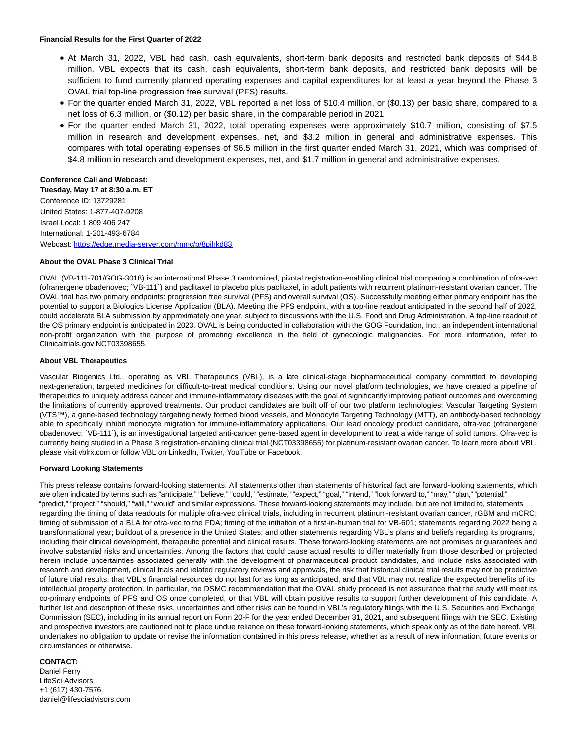## **Financial Results for the First Quarter of 2022**

- At March 31, 2022, VBL had cash, cash equivalents, short-term bank deposits and restricted bank deposits of \$44.8 million. VBL expects that its cash, cash equivalents, short-term bank deposits, and restricted bank deposits will be sufficient to fund currently planned operating expenses and capital expenditures for at least a year beyond the Phase 3 OVAL trial top-line progression free survival (PFS) results.
- For the quarter ended March 31, 2022, VBL reported a net loss of \$10.4 million, or (\$0.13) per basic share, compared to a net loss of 6.3 million, or (\$0.12) per basic share, in the comparable period in 2021.
- For the quarter ended March 31, 2022, total operating expenses were approximately \$10.7 million, consisting of \$7.5 million in research and development expenses, net, and \$3.2 million in general and administrative expenses. This compares with total operating expenses of \$6.5 million in the first quarter ended March 31, 2021, which was comprised of \$4.8 million in research and development expenses, net, and \$1.7 million in general and administrative expenses.

## **Conference Call and Webcast:**

**Tuesday, May 17 at 8:30 a.m. ET** Conference ID: 13729281 United States: 1-877-407-9208 Israel Local: 1 809 406 247 International: 1-201-493-6784 Webcast:<https://edge.media-server.com/mmc/p/8pjhkd83>

## **About the OVAL Phase 3 Clinical Trial**

OVAL (VB-111-701/GOG-3018) is an international Phase 3 randomized, pivotal registration-enabling clinical trial comparing a combination of ofra-vec (ofranergene obadenovec; `VB-111`) and paclitaxel to placebo plus paclitaxel, in adult patients with recurrent platinum-resistant ovarian cancer. The OVAL trial has two primary endpoints: progression free survival (PFS) and overall survival (OS). Successfully meeting either primary endpoint has the potential to support a Biologics License Application (BLA). Meeting the PFS endpoint, with a top-line readout anticipated in the second half of 2022, could accelerate BLA submission by approximately one year, subject to discussions with the U.S. Food and Drug Administration. A top-line readout of the OS primary endpoint is anticipated in 2023. OVAL is being conducted in collaboration with the GOG Foundation, Inc., an independent international non-profit organization with the purpose of promoting excellence in the field of gynecologic malignancies. For more information, refer to Clinicaltrials.gov NCT03398655.

## **About VBL Therapeutics**

Vascular Biogenics Ltd., operating as VBL Therapeutics (VBL), is a late clinical-stage biopharmaceutical company committed to developing next-generation, targeted medicines for difficult-to-treat medical conditions. Using our novel platform technologies, we have created a pipeline of therapeutics to uniquely address cancer and immune-inflammatory diseases with the goal of significantly improving patient outcomes and overcoming the limitations of currently approved treatments. Our product candidates are built off of our two platform technologies: Vascular Targeting System (VTS™), a gene-based technology targeting newly formed blood vessels, and Monocyte Targeting Technology (MTT), an antibody-based technology able to specifically inhibit monocyte migration for immune-inflammatory applications. Our lead oncology product candidate, ofra-vec (ofranergene obadenovec; `VB-111`), is an investigational targeted anti-cancer gene-based agent in development to treat a wide range of solid tumors. Ofra-vec is currently being studied in a Phase 3 registration-enabling clinical trial (NCT03398655) for platinum-resistant ovarian cancer. To learn more about VBL, please visit vblrx.com or follow VBL on LinkedIn, Twitter, YouTube or Facebook.

#### **Forward Looking Statements**

This press release contains forward-looking statements. All statements other than statements of historical fact are forward-looking statements, which are often indicated by terms such as "anticipate," "believe," "could," "estimate," "expect," "goal," "intend," "look forward to," "may," "plan," "potential," "predict," "project," "should," "will," "would" and similar expressions. These forward-looking statements may include, but are not limited to, statements regarding the timing of data readouts for multiple ofra-vec clinical trials, including in recurrent platinum-resistant ovarian cancer, rGBM and mCRC; timing of submission of a BLA for ofra-vec to the FDA; timing of the initiation of a first-in-human trial for VB-601; statements regarding 2022 being a transformational year; buildout of a presence in the United States; and other statements regarding VBL's plans and beliefs regarding its programs, including their clinical development, therapeutic potential and clinical results. These forward-looking statements are not promises or guarantees and involve substantial risks and uncertainties. Among the factors that could cause actual results to differ materially from those described or projected herein include uncertainties associated generally with the development of pharmaceutical product candidates, and include risks associated with research and development, clinical trials and related regulatory reviews and approvals, the risk that historical clinical trial results may not be predictive of future trial results, that VBL's financial resources do not last for as long as anticipated, and that VBL may not realize the expected benefits of its intellectual property protection. In particular, the DSMC recommendation that the OVAL study proceed is not assurance that the study will meet its co-primary endpoints of PFS and OS once completed, or that VBL will obtain positive results to support further development of this candidate. A further list and description of these risks, uncertainties and other risks can be found in VBL's regulatory filings with the U.S. Securities and Exchange Commission (SEC), including in its annual report on Form 20-F for the year ended December 31, 2021, and subsequent filings with the SEC. Existing and prospective investors are cautioned not to place undue reliance on these forward-looking statements, which speak only as of the date hereof. VBL undertakes no obligation to update or revise the information contained in this press release, whether as a result of new information, future events or circumstances or otherwise.

## **CONTACT:**

Daniel Ferry LifeSci Advisors +1 (617) 430-7576 daniel@lifesciadvisors.com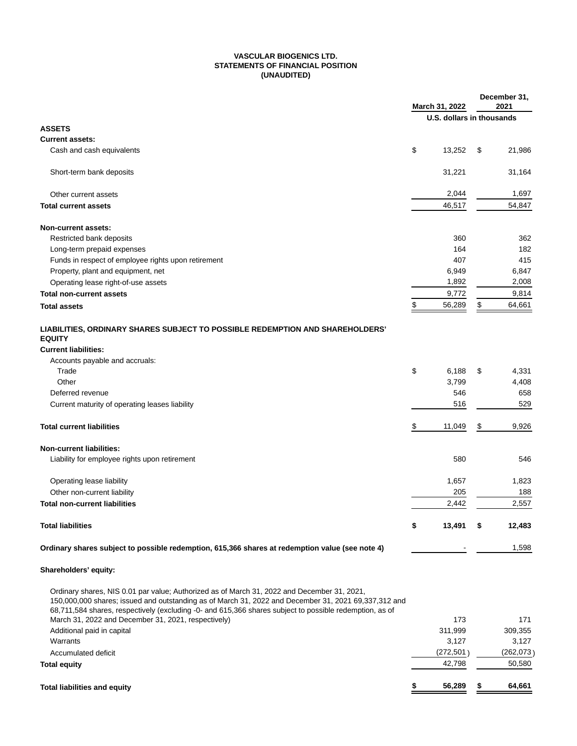# **VASCULAR BIOGENICS LTD. STATEMENTS OF FINANCIAL POSITION (UNAUDITED)**

|                                                                                                                                                                                                                                                                                                                | March 31, 2022 |                           | December 31,<br>2021 |            |
|----------------------------------------------------------------------------------------------------------------------------------------------------------------------------------------------------------------------------------------------------------------------------------------------------------------|----------------|---------------------------|----------------------|------------|
|                                                                                                                                                                                                                                                                                                                |                | U.S. dollars in thousands |                      |            |
| <b>ASSETS</b>                                                                                                                                                                                                                                                                                                  |                |                           |                      |            |
| <b>Current assets:</b>                                                                                                                                                                                                                                                                                         |                |                           |                      |            |
| Cash and cash equivalents                                                                                                                                                                                                                                                                                      | \$             | 13,252                    | \$                   | 21,986     |
| Short-term bank deposits                                                                                                                                                                                                                                                                                       |                | 31,221                    |                      | 31,164     |
| Other current assets                                                                                                                                                                                                                                                                                           |                | 2,044                     |                      | 1,697      |
| <b>Total current assets</b>                                                                                                                                                                                                                                                                                    |                | 46,517                    |                      | 54,847     |
| Non-current assets:                                                                                                                                                                                                                                                                                            |                |                           |                      |            |
| Restricted bank deposits                                                                                                                                                                                                                                                                                       |                | 360                       |                      | 362        |
| Long-term prepaid expenses                                                                                                                                                                                                                                                                                     |                | 164                       |                      | 182        |
| Funds in respect of employee rights upon retirement                                                                                                                                                                                                                                                            |                | 407                       |                      | 415        |
| Property, plant and equipment, net                                                                                                                                                                                                                                                                             |                | 6,949                     |                      | 6,847      |
| Operating lease right-of-use assets                                                                                                                                                                                                                                                                            |                | 1,892                     |                      | 2,008      |
| <b>Total non-current assets</b>                                                                                                                                                                                                                                                                                |                | 9,772                     |                      | 9,814      |
| <b>Total assets</b>                                                                                                                                                                                                                                                                                            | \$             | 56,289                    | \$                   | 64,661     |
| LIABILITIES, ORDINARY SHARES SUBJECT TO POSSIBLE REDEMPTION AND SHAREHOLDERS'<br><b>EQUITY</b><br><b>Current liabilities:</b>                                                                                                                                                                                  |                |                           |                      |            |
| Accounts payable and accruals:                                                                                                                                                                                                                                                                                 |                |                           |                      |            |
| Trade                                                                                                                                                                                                                                                                                                          | \$             | 6,188                     | \$                   | 4,331      |
| Other                                                                                                                                                                                                                                                                                                          |                | 3,799                     |                      | 4,408      |
| Deferred revenue                                                                                                                                                                                                                                                                                               |                | 546                       |                      | 658        |
| Current maturity of operating leases liability                                                                                                                                                                                                                                                                 |                | 516                       |                      | 529        |
| <b>Total current liabilities</b>                                                                                                                                                                                                                                                                               | \$             | 11,049                    | \$                   | 9,926      |
| <b>Non-current liabilities:</b>                                                                                                                                                                                                                                                                                |                |                           |                      |            |
| Liability for employee rights upon retirement                                                                                                                                                                                                                                                                  |                | 580                       |                      | 546        |
|                                                                                                                                                                                                                                                                                                                |                |                           |                      |            |
| Operating lease liability                                                                                                                                                                                                                                                                                      |                | 1,657                     |                      | 1,823      |
| Other non-current liability                                                                                                                                                                                                                                                                                    |                | 205                       |                      | 188        |
| <b>Total non-current liabilities</b>                                                                                                                                                                                                                                                                           |                | 2,442                     |                      | 2,557      |
| <b>Total liabilities</b>                                                                                                                                                                                                                                                                                       | \$             | 13,491                    | S                    | 12,483     |
| Ordinary shares subject to possible redemption, 615,366 shares at redemption value (see note 4)                                                                                                                                                                                                                |                |                           |                      | 1,598      |
| Shareholders' equity:                                                                                                                                                                                                                                                                                          |                |                           |                      |            |
| Ordinary shares, NIS 0.01 par value; Authorized as of March 31, 2022 and December 31, 2021,<br>150,000,000 shares; issued and outstanding as of March 31, 2022 and December 31, 2021 69,337,312 and<br>68,711,584 shares, respectively (excluding -0- and 615,366 shares subject to possible redemption, as of |                |                           |                      |            |
| March 31, 2022 and December 31, 2021, respectively)                                                                                                                                                                                                                                                            |                | 173                       |                      | 171        |
| Additional paid in capital                                                                                                                                                                                                                                                                                     |                | 311,999                   |                      | 309,355    |
| Warrants                                                                                                                                                                                                                                                                                                       |                | 3,127                     |                      | 3,127      |
| Accumulated deficit                                                                                                                                                                                                                                                                                            |                | (272, 501)                |                      | (262, 073) |
| <b>Total equity</b>                                                                                                                                                                                                                                                                                            |                | 42,798                    |                      | 50,580     |
| <b>Total liabilities and equity</b>                                                                                                                                                                                                                                                                            |                | 56,289                    |                      | 64,661     |